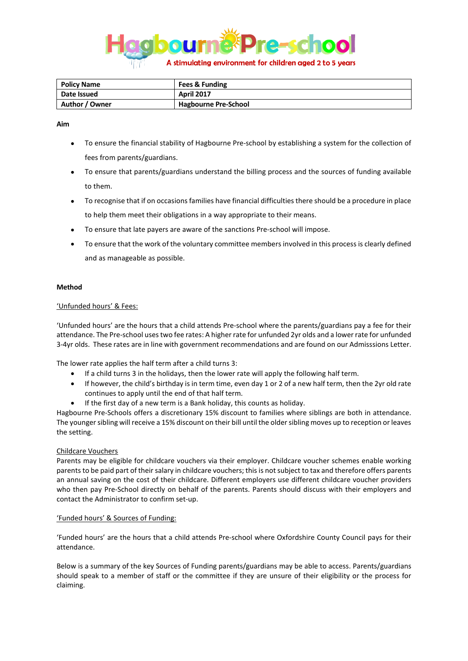

| <b>Policy Name</b> | <b>Fees &amp; Funding</b>   |
|--------------------|-----------------------------|
| Date Issued        | <b>April 2017</b>           |
| Author / Owner     | <b>Hagbourne Pre-School</b> |

### **Aim**

- To ensure the financial stability of Hagbourne Pre-school by establishing a system for the collection of fees from parents/guardians.
- To ensure that parents/guardians understand the billing process and the sources of funding available to them.
- To recognise that if on occasions families have financial difficulties there should be a procedure in place to help them meet their obligations in a way appropriate to their means.
- To ensure that late payers are aware of the sanctions Pre-school will impose.
- To ensure that the work of the voluntary committee members involved in this process is clearly defined and as manageable as possible.

## **Method**

# 'Unfunded hours' & Fees:

'Unfunded hours' are the hours that a child attends Pre-school where the parents/guardians pay a fee for their attendance. The Pre-school uses two fee rates: A higher rate for unfunded 2yr olds and a lower rate for unfunded 3-4yr olds. These rates are in line with government recommendations and are found on our Admisssions Letter.

The lower rate applies the half term after a child turns 3:

- If a child turns 3 in the holidays, then the lower rate will apply the following half term.
- If however, the child's birthday is in term time, even day 1 or 2 of a new half term, then the 2yr old rate continues to apply until the end of that half term.
- If the first day of a new term is a Bank holiday, this counts as holiday.

Hagbourne Pre-Schools offers a discretionary 15% discount to families where siblings are both in attendance. The younger sibling will receive a 15% discount on their bill until the older sibling moves up to reception or leaves the setting.

## Childcare Vouchers

Parents may be eligible for childcare vouchers via their employer. Childcare voucher schemes enable working parents to be paid part of their salary in childcare vouchers; this is not subject to tax and therefore offers parents an annual saving on the cost of their childcare. Different employers use different childcare voucher providers who then pay Pre-School directly on behalf of the parents. Parents should discuss with their employers and contact the Administrator to confirm set-up.

## 'Funded hours' & Sources of Funding:

'Funded hours' are the hours that a child attends Pre-school where Oxfordshire County Council pays for their attendance.

Below is a summary of the key Sources of Funding parents/guardians may be able to access. Parents/guardians should speak to a member of staff or the committee if they are unsure of their eligibility or the process for claiming.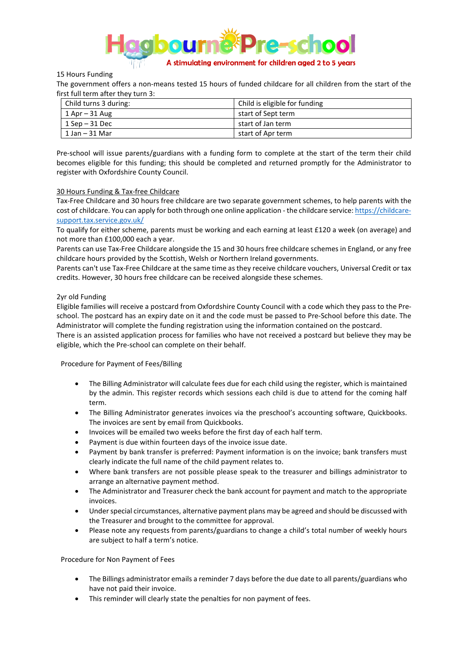

### 15 Hours Funding

The government offers a non-means tested 15 hours of funded childcare for all children from the start of the first full term after they turn 3:

| Child turns 3 during: | Child is eligible for funding |  |
|-----------------------|-------------------------------|--|
| 1 Apr – 31 Aug        | start of Sept term            |  |
| $1$ Sep $-31$ Dec     | start of Jan term             |  |
| $1$ Jan $-$ 31 Mar    | start of Apr term             |  |

Pre-school will issue parents/guardians with a funding form to complete at the start of the term their child becomes eligible for this funding; this should be completed and returned promptly for the Administrator to register with Oxfordshire County Council.

#### 30 Hours Funding & Tax-free Childcare

Tax-Free Childcare and 30 hours free childcare are two separate government schemes, to help parents with the cost of childcare. You can apply for both through one online application - the childcare service: [https://childcare](https://childcare-support.tax.service.gov.uk/)[support.tax.service.gov.uk/](https://childcare-support.tax.service.gov.uk/)

To qualify for either scheme, parents must be working and each earning at least £120 a week (on average) and not more than £100,000 each a year.

Parents can use Tax-Free Childcare alongside the 15 and 30 hours free childcare schemes in England, or any free childcare hours provided by the Scottish, Welsh or Northern Ireland governments.

Parents can't use Tax-Free Childcare at the same time as they receive childcare vouchers, Universal Credit or tax credits. However, 30 hours free childcare can be received alongside these schemes.

#### 2yr old Funding

Eligible families will receive a postcard from Oxfordshire County Council with a code which they pass to the Preschool. The postcard has an expiry date on it and the code must be passed to Pre-School before this date. The Administrator will complete the funding registration using the information contained on the postcard.

There is an assisted application process for families who have not received a postcard but believe they may be eligible, which the Pre-school can complete on their behalf.

#### Procedure for Payment of Fees/Billing

- The Billing Administrator will calculate fees due for each child using the register, which is maintained by the admin. This register records which sessions each child is due to attend for the coming half term.
- The Billing Administrator generates invoices via the preschool's accounting software, Quickbooks. The invoices are sent by email from Quickbooks.
- Invoices will be emailed two weeks before the first day of each half term.
- Payment is due within fourteen days of the invoice issue date.
- Payment by bank transfer is preferred: Payment information is on the invoice; bank transfers must clearly indicate the full name of the child payment relates to.
- Where bank transfers are not possible please speak to the treasurer and billings administrator to arrange an alternative payment method.
- The Administrator and Treasurer check the bank account for payment and match to the appropriate invoices.
- Under special circumstances, alternative payment plans may be agreed and should be discussed with the Treasurer and brought to the committee for approval.
- Please note any requests from parents/guardians to change a child's total number of weekly hours are subject to half a term's notice.

#### Procedure for Non Payment of Fees

- The Billings administrator emails a reminder 7 days before the due date to all parents/guardians who have not paid their invoice.
- This reminder will clearly state the penalties for non payment of fees.